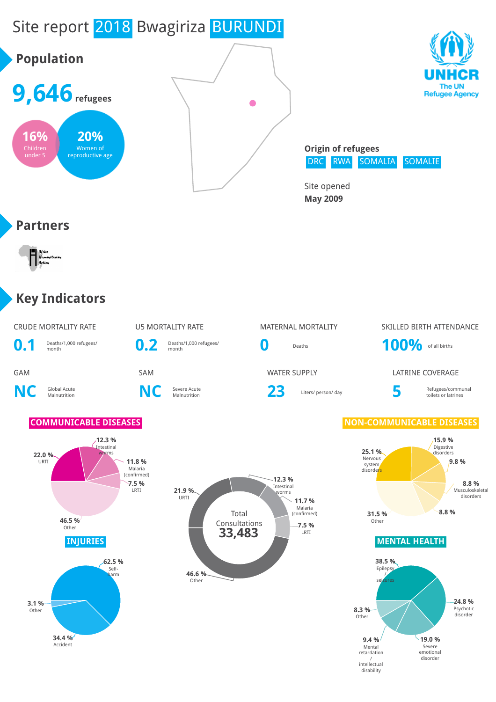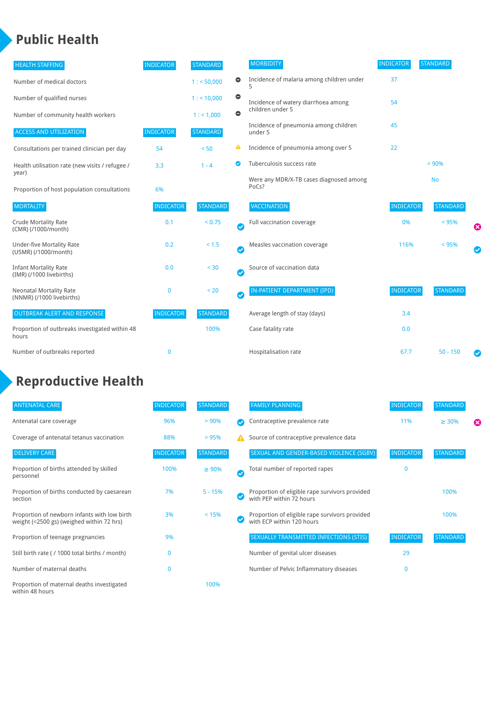## **Public Health**

| <b>HEALTH STAFFING</b>                                      | <b>INDICATOR</b> | <b>STANDARD</b> |           | <b>MORBIDITY</b>                                 | <b>INDICATOR</b> | <b>STANDARD</b> |   |
|-------------------------------------------------------------|------------------|-----------------|-----------|--------------------------------------------------|------------------|-----------------|---|
| Number of medical doctors                                   |                  | 1: 50,000       | $\bullet$ | Incidence of malaria among children under        | 37               |                 |   |
| Number of qualified nurses                                  |                  | $1:$ < 10,000   | $\bullet$ | Incidence of watery diarrhoea among              | 54               |                 |   |
| Number of community health workers                          |                  | 1:1,000         | $\bullet$ | children under 5                                 |                  |                 |   |
| <b>ACCESS AND UTILIZATION</b>                               | <b>INDICATOR</b> | <b>STANDARD</b> |           | Incidence of pneumonia among children<br>under 5 | 45               |                 |   |
| Consultations per trained clinician per day                 | 54               | < 50            | ▲         | Incidence of pneumonia among over 5              | 22               |                 |   |
| Health utilisation rate (new visits / refugee /             | 3.3              | $1 - 4$         | ◙         | Tuberculosis success rate                        |                  | < 90%           |   |
| year)<br>Proportion of host population consultations        | 6%               |                 |           | Were any MDR/X-TB cases diagnosed among<br>PoCs? |                  | <b>No</b>       |   |
| <b>MORTALITY</b>                                            | <b>INDICATOR</b> | <b>STANDARD</b> |           | <b>VACCINATION</b>                               | <b>INDICATOR</b> | <b>STANDARD</b> |   |
| <b>Crude Mortality Rate</b><br>(CMR) (/1000/month)          | 0.1              | < 0.75          | Ø         | Full vaccination coverage                        | 0%               | < 95%           | ೞ |
| <b>Under-five Mortality Rate</b><br>(U5MR) (/1000/month)    | 0.2              | < 1.5           | Ø         | Measles vaccination coverage                     | 116%             | < 95%           |   |
| <b>Infant Mortality Rate</b><br>(IMR) (/1000 livebirths)    | 0.0              | $30$            | Ø         | Source of vaccination data                       |                  |                 |   |
| <b>Neonatal Mortality Rate</b><br>(NNMR) (/1000 livebirths) | 0                | < 20            | Ø         | IN-PATIENT DEPARTMENT (IPD)                      | <b>INDICATOR</b> | <b>STANDARD</b> |   |
| <b>OUTBREAK ALERT AND RESPONSE</b>                          | <b>INDICATOR</b> | <b>STANDARD</b> |           | Average length of stay (days)                    | 3.4              |                 |   |
| Proportion of outbreaks investigated within 48<br>hours     |                  | 100%            |           | Case fatality rate                               | 0.0              |                 |   |
| Number of outbreaks reported                                | 0                |                 |           | Hospitalisation rate                             | 67.7             | $50 - 150$      |   |

# **Reproductive Health**

| <b>ANTENATAL CARE</b>                                                                     | <b>INDICATOR</b> | <b>STANDARD</b> |               | <b>FAMILY PLANNING</b>                                                      | <b>INDICATOR</b> | <b>STANDARD</b> |   |
|-------------------------------------------------------------------------------------------|------------------|-----------------|---------------|-----------------------------------------------------------------------------|------------------|-----------------|---|
| Antenatal care coverage                                                                   | 96%              | > 90%           |               | Contraceptive prevalence rate                                               | 11%              | $\geq 30\%$     | ⊠ |
| Coverage of antenatal tetanus vaccination                                                 | 88%              | >95%            |               | Source of contraceptive prevalence data                                     |                  |                 |   |
| <b>DELIVERY CARE</b>                                                                      | <b>INDICATOR</b> | <b>STANDARD</b> |               | SEXUAL AND GENDER-BASED VIOLENCE (SGBV)                                     | <b>INDICATOR</b> | <b>STANDARD</b> |   |
| Proportion of births attended by skilled<br>personnel                                     | 100%             | $\geq 90\%$     | $\bm{\omega}$ | Total number of reported rapes                                              | $\mathbf{0}$     |                 |   |
| Proportion of births conducted by caesarean<br>section                                    | 7%               | $5 - 15%$       |               | Proportion of eligible rape survivors provided<br>with PEP within 72 hours  |                  | 100%            |   |
| Proportion of newborn infants with low birth<br>weight (<2500 gs) (weighed within 72 hrs) | 3%               | < 15%           |               | Proportion of eligible rape survivors provided<br>with ECP within 120 hours |                  | 100%            |   |
| Proportion of teenage pregnancies                                                         | 9%               |                 |               | SEXUALLY TRANSMITTED INFECTIONS (STIS)                                      | <b>INDICATOR</b> | <b>STANDARD</b> |   |
| Still birth rate (/ 1000 total births / month)                                            | $\Omega$         |                 |               | Number of genital ulcer diseases                                            | 29               |                 |   |
| Number of maternal deaths                                                                 | $\mathbf{0}$     |                 |               | Number of Pelvic Inflammatory diseases                                      | $\Omega$         |                 |   |
| Proportion of maternal deaths investigated<br>within 48 hours                             |                  | 100%            |               |                                                                             |                  |                 |   |